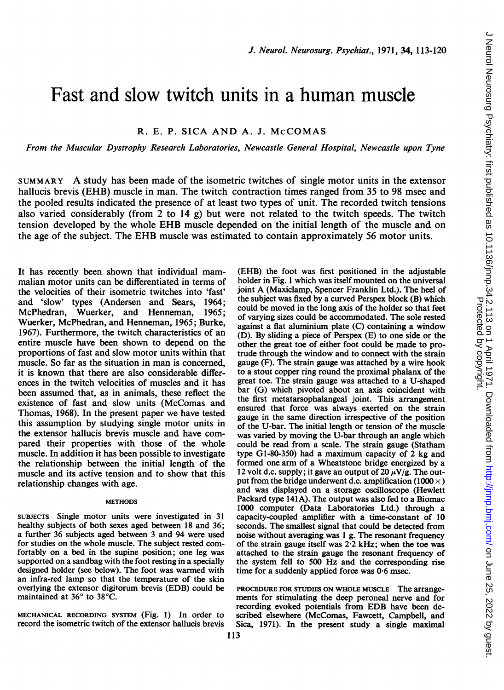# Fast and slow twitch units in a human muscle

R. E. P. SICA AND A. J. McCOMAS

From the Muscular Dystrophy Research Laboratories, Newcastle General Hospital, Newcastle upon Tyne

SUMMARY A study has been made of the isometric twitches of single motor units in the extensor hallucis brevis (EHB) muscle in man. The twitch contraction times ranged from 35 to 98 msec and the pooled results indicated the presence of at least two types of unit. The recorded twitch tensions also varied considerably (from 2 to  $14 \text{ g}$ ) but were not related to the twitch speeds. The twitch tension developed by the whole EHB muscle depended on the initial length of the muscle and on the age of the subject. The EHB muscle was estimated to contain approximately <sup>56</sup> motor units.

It has recently been shown that individual mammalian motor units can be differentiated in terms of the velocities of their isometric twitches into 'fast' and 'slow' types (Andersen and Sears, 1964; McPhedran, Wuerker, and Henneman, 1965; Wuerker, McPhedran, and Henneman, 1965; Burke, 1967). Furthermore, the twitch characteristics of an entire muscle have been shown to depend on the proportions of fast and slow motor units within that muscle. So far as the situation in man is concerned, it is known that there are also considerable differences in the twitch velocities of muscles and it has been assumed that, as in animals, these reflect the existence of fast and slow units (McComas and Thomas, 1968). In the present paper we have tested this assumption by studying single motor units in the extensor hallucis brevis muscle and have compared their properties with those of the whole muscle. In addition it has been possible to investigate the relationship between the initial length of the muscle and its active tension and to show that this relationship changes with age.

#### **METHODS**

SUBJECTS Single motor units were investigated in 31 healthy subjects of both sexes aged between 18 and 36; a further 36 subjects aged between 3 and 94 were used for studies on the whole muscle. The subject rested comfortably on a bed in the supine position; one leg was supported on a sandbag with the foot resting in a specially designed holder (see below). The foot was warmed with an infra-red lamp so that the temperature of the skin overlying the extensor digitorum brevis (EDB) could be maintained at 36° to 38°C.

MECHANICAL RECORDING SYSTEM (Fig. 1) In order to record the isometric twitch of the extensor hallucis brevis

(EHB) the foot was first positioned in the adjustable holder in Fig. <sup>1</sup> which was itself mounted on the universal joint A (Maxiclamp, Spencer Franklin Ltd.). The heel of the subject was fixed by a curved Perspex block (B) which could be moved in the long axis of the holder so that feet of varying sizes could be accommodated. The sole rested against a flat aluminium plate (C) containing a window (D). By sliding a piece of Perspex (E) to one side or the other the great toe of either foot could be made to protrude through the window and to connect with the strain gauge (F). The strain gauge was attached by a wire hook to a stout copper ring round the proximal phalanx of the great toe. The strain gauge was attached to a U-shaped bar (G) which pivoted about an axis coincident with the first metatarsophalangeal joint. This arrangement ensured that force was always exerted on the strain gauge in the same direction irrespective of the position of the U-bar. The initial length or tension of the muscle was varied by moving the U-bar through an angle which could be read from a scale. The strain gauge (Statham type G1-80-350) had a maximum capacity of 2 kg and formed one arm of a Wheatstone bridge energized by a 12 volt d.c. supply; it gave an output of 20  $\mu$ V/g. The output from the bridge underwent d.c. amplification (1000  $\times$ ) and was displayed on a storage oscilloscope (Hewlett Packard type 141A). The output was also fed to a Biomac 1000 computer (Data Laboratories Ltd.) through a capacity-coupled amplifier with a time-constant of 10 seconds. The smallest signal that could be detected from noise without averaging was <sup>1</sup> g. The resonant frequency of the strain gauge itself was 2-2 kHz; when the toe was attached to the strain gauge the resonant frequency of the system fell to 500 Hz and the corresponding rise time for a suddenly applied force was 0-6 msec.

PROCEDURE FOR STUDIES ON WHOLE MUSCLE The arrangements for stimulating the deep peroneal nerve and for recording evoked potentials from EDB have been described elsewhere (McComas, Fawcett, Campbell, and Sica, 1971). In the present study a single maximal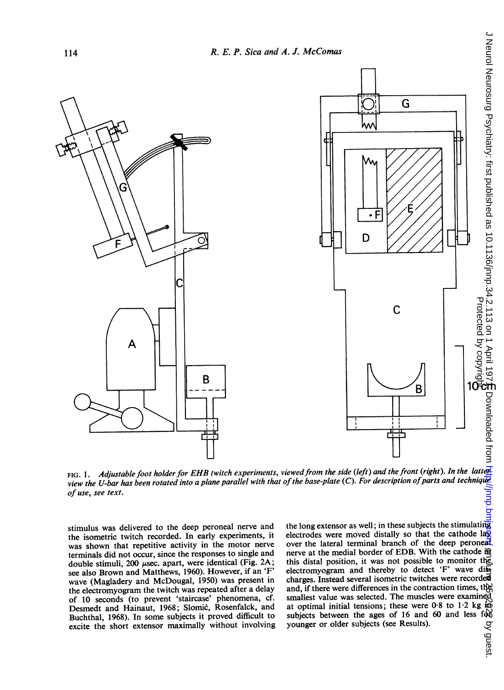

FIG. 1. Adjustable foot holder for EHB twitch experiments, viewed from the side (left) and the front (right). In the latter view the U-bar has been rotated into a plane parallel with that of the base-plate (C). For description of parts and technique of use, see text.

stimulus was delivered to the deep peroneal nerve and the isometric twitch recorded. In early experiments, it was shown that repetitive activity in the motor nerve terminals did not occur, since the responses to single and double stimuli, 200  $\mu$ sec. apart, were identical (Fig. 2A; see also Brown and Matthews, 1960). However, if an 'F' wave (Magladery and McDougal, 1950) was present in the electromyogram the twitch was repeated after a delay of 10 seconds (to prevent 'staircase' phenomena, cf. Desmedt and Hainaut, 1968; Slomic, Rosenfalck, and Buchthal, 1968). In some subjects it proved difficult to excite the short extensor maximally without involving the long extensor as well; in these subjects the stimulating electrodes were moved distally so that the cathode la $\overline{\mathbb{Q}}$ over the lateral terminal branch of the deep peroneal nerve at the medial border of EDB. With the cathode in this distal position, it was not possible to monitor the electromyogram and thereby to detect 'F' wave diecharges. Instead several isometric twitches were recorded and, if there were differences in the contraction times, the smallest value was selected. The muscles were examined at optimal initial tensions; these were  $0.8$  to  $1.2$  kg in subjects between the ages of 16 and 60 and less for younger or older subjects (see Results). younger or older subjects (see Results).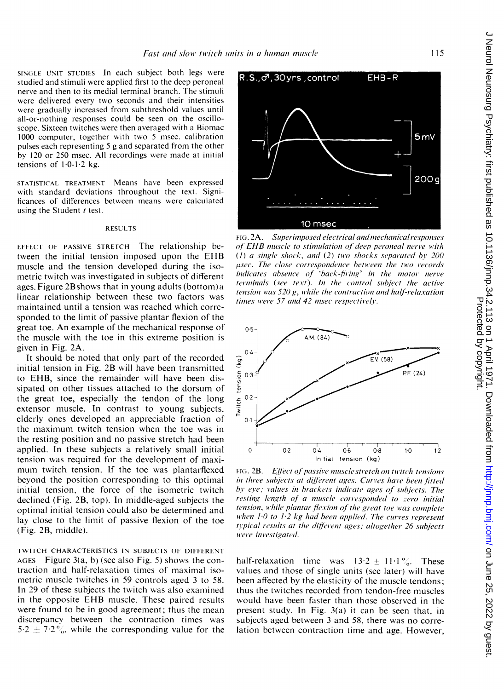R.S., o<sup>7</sup>, 30 yrs, control

SINGLE UNIT STUDIES In each subject both legs were studied and stimuli were applied first to the deep peroneal nerve and then to its medial terminal branch. The stimuli were delivered every two seconds and their intensities were gradually increased from subthreshold values until all-or-nothing responses could be seen on the oscilloscope. Sixteen twitches were then averaged with a Biomac 1000 computer, together with two <sup>5</sup> msec. calibration pulses each representing <sup>5</sup> g and separated from the other by 120 or 250 msec. All recordings were made at initial tensions of  $1.0-1.2$  kg.

STATISTICAL TREATMENT Means have been expressed with standard deviations throughout the text. Significances of differences between means were calculated using the Student  $t$  test.

#### RESULTS

EFFECT OF PASSIVE STRETCH The relationship between the initial tension imposed upon the EHB muscle and the tension developed during the isometric twitch was investigated in subjects of different ages. Figure 2Bshows that in young adults (bottom)a linear relationship between these two factors was maintained until a tension was reached which corresponded to the limit of passive plantar flexion of the great toe. An example of the mechanical response of the muscle with the toe in this extreme position is given in Fig. 2A.

It should be noted that only part of the recorded initial tension in Fig. 2B will have been transmitted to EHB, since the remainder will have been dissipated on other tissues attached to the dorsum of the great toe, especially the tendon of the long extensor muscle. In contrast to young subjects, elderly ones developed an appreciable fraction of the maximum twitch tension when the toe was in the resting position and no passive stretch had been applied. In these subjects a relatively small initial tension was required for the development of maximum twitch tension. If the toe was plantarflexed beyond the position corresponding to this optimal initial tension, the force of the isometric twitch declined (Fig. 2B, top). In middle-aged subjects the optimal initial tension could also be determined and lay close to the limit of passive flexion of the toe (Fig. 2B, middle).

TWITCH CHARACTERISTICS IN SUBJECTS OF DIFFERENT AGES Figure 3(a, b) (see also Fig. 5) shows the contraction and half-relaxation times of maximal isometric muscle twitches in 59 controls aged 3 to 58. In 29 of these subjects the twitch was also examined in the opposite EHB muscle. These paired results were found to be in good agreement; thus the mean discrepancy between the contraction times was  $5.2 \pm 7.2\%$ , while the corresponding value for the

FIG. 2A. Superimposed electrical and mechanical responses of EHB muscle to stimulation of deep peroneal nerve with (1) a single shock, and (2) two shocks separated by  $200$  $\mu$ sec. The close correspondence between the two records  $indicates$  absence of 'back-firing' in the motor nerve terminals (see text). In the control subject the active tension was 520 g, while the contraction and half-relaxation times were 57 and 42 msec respectively.

10 msec



FIG. 2B. Effect of passive muscle stretch on twitch tensions in three subjects at different ages. Curves have been fitted by eye; values in brackets indicate ages of subjects. The resting length of a muscle corresponded to zero initial tension, while plantar flexion of the great toe was complete when  $10$  to  $1.2$  kg had been applied. The curves represent typical results at the different ages; altogether 26 subjects were investigated.

half-relaxation time was  $13.2 \pm 11.1\%$ . These values and those of single units (see later) will have been affected by the elasticity of the muscle tendons; thus the twitches recorded from tendon-free muscles would have been faster than those observed in the present study. In Fig. 3(a) it can be seen that, in subjects aged between <sup>3</sup> and 58, there was no correlation between contraction time and age. However,

 $5mV$ 

 $200q$ 

 $EHB-R$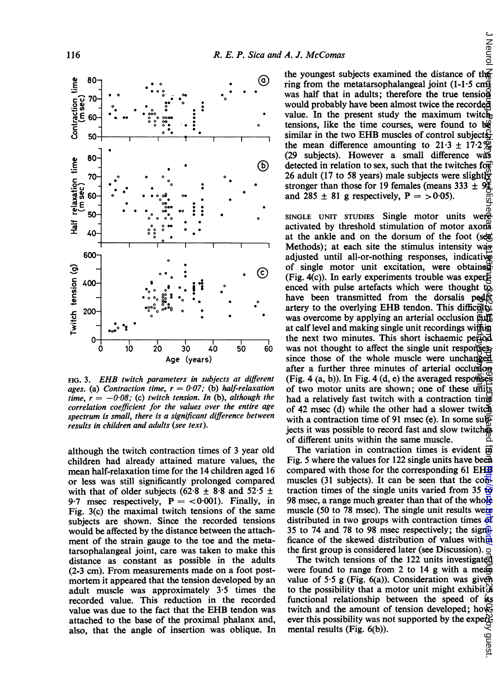

correlation coefficient for the values over the entire age spectrum is small, there is a significant difference between results in children and adults (see text).

although the twitch contraction times of 3 year old The variation in contraction times is evident  $\vec{p}$ children had already attained mature values, the Fig. 5 where the values for 122 single units have been mean half-relaxation time for the 14 children aged 16 compared with those for the corresponding 61 EHE or less was still significantly prolonged compared muscles (31 subjects). It can be seen that the conwith that of older subjects (62.8  $\pm$  8.8 and 52.5  $\pm$  traction times of the single units varied from 35 to 9.7 msec respectively,  $P = \langle 0.001 \rangle$ . Finally, in Fig. 3(c) the maximal twitch tensions of the same subjects are shown. Since the recorded tensions distributed in two groups with contraction times of would be affected by the distance between the attach-<br>35 to 74 and 78 to 98 msec respectively; the signifiant ment of the strain gauge to the toe and the metatarsop Ihalangeal joint, care was taken to make this the first group is considered later (see Discussion). distance as constant as possible in the adults The twitch tensions of the 122 units investigated (2-3 cm). From measurements made on a foot postmortem it appeared that the tension developed by an value of 5.5 g (Fig. 6(a)). Consideration was given adult muscle was approximately 3.5 times the recorded value. This reduction in the recorded functional relationship between the speed of its value was due to the fact that the EHB tendon was attached to the base of the proximal phalanx and, also, that the angle of insertion was oblique. In mental results (Fig. 6(b)).

J Neurol  $80$  and  $\bullet$  and  $\bullet$  ine youngest subjects examined the distance of the 80  $\degree$ . was half that in adults; therefore the true tension would probably have been almost twice the recorded  $60 - \cdot \cdot \cdot \cdot \cdot$   $\cdot \cdot \cdot \cdot \cdot$   $\cdot \cdot \cdot$   $\cdot \cdot \cdot \cdot$  value. In the present study the maximum twitch tensions, like the time courses, were found to  $b\mathcal{C}$  $50 - 30$  similar in the two EHB muscles of control subjects, the mean difference amounting to  $21.3 \pm 17.2\frac{\omega}{\omega}$ <br>(29 subjects). However a small difference was (b) detected in relation to sex, such that the twitches for 26 adult (17 to 58 years) male subjects were slightly stronger than those for 19 females (means 333  $\pm$  9 $\frac{1}{2}$ ) and 285  $\pm$  81 g respectively,  $P = >0.05$ ).

FIG. 3. *EHB twitch parameters in subjects at different* (Fig. 4 (a, b)). In Fig. 4 (d, e) the averaged responses ages. (a) Contraction time,  $r = 0.07$ ; (b) half-relaxation of two motor units are shown; one of these units time,  $r = -0.08$ ; (c) twitch tension. In (b), although the had a relatively fast twitch with a contraction time SINGLE UNIT STUDIES Single motor units were<br>activated by threshold stimulation of motor axons at the ankle and on the dorsum of the foot (see Methods); at each site the stimulus intensity was adjusted until all-or-nothing responses, indicatively of single motor unit excitation, were obtained  $\odot$   $\qquad$  (Fig. 4(c)). In early experiments trouble was experienced with pulse artefacts which were thought to have been transmitted from the dorsalis pedis artery to the overlying EHB tendon. This difficulty was overcome by applying an arterial occlusion euff at calf level and making single unit recordings within 0- the next two minutes. This short ischaemic period was not thought to affect the single unit responses. Age (years) since those of the whole muscle were unchanged after a further three minutes of arterial occlusion of 42 msec (d) while the other had a slower twitch with a contraction time of 91 msec (e). In some subjects it was possible to record fast and slow twitches of different units within the same muscle.  $\mathbb{E}$ <br>The variation in contraction times is evident  $\overrightarrow{p}$ Protected by copyright. l Neurol Yerset. http://journe.com/ June 2022 by guest. http://journloaded from June Psychiatry: first published as 10.114.2.113 or 10.114.2.113 on 1 April 1970. June 1 April 1971. Downloaded from June 1971. Downloaded fr

98 msec, a range much greater than that of the whole muscle (50 to 78 msec). The single unit results were distributed in two groups with contraction times of ficance of the skewed distribution of values within

were found to range from 2 to 14 g with a mean-<br>value of 5.5 g (Fig. 6(a)). Consideration was given to the possibility that a motor unit might exhibit  $\mathfrak{F}_s$  functional relationship between the speed of its twitch and the amount of tension developed; however, ever this possibility was not supported by the experi-<br>mental results (Fig. 6(b)). ' guest.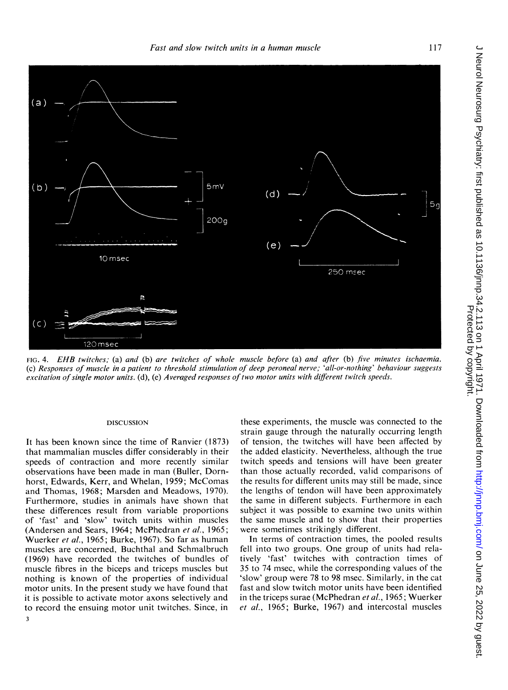

FIG. 4. EHB twitches; (a) and (b) are twitches of whole muscle before (a) and after (b) five minutes ischaemia. (c) Responses of muscle in a patient to threshold stimulation of deep peroneal nerve; 'all-or-nothing' behaviour suggests excitation of single motor units. (d), (e) Averaged responses of two motor units with different twitch speeds.

#### DISCUSSION

It has been known since the time of Ranvier (1873) that mammalian muscles differ considerably in their speeds of contraction and more recently similar observations have been made in man (Buller, Dornhorst, Edwards, Kerr, and Whelan, 1959; McComas and Thomas, 1968; Marsden and Meadows, 1970). Furthermore, studies in animals have shown that these differences result from variable proportions of 'fast' and 'slow' twitch units within muscles (Andersen and Sears, 1964; McPhedran et al., 1965; Wuerker et al., 1965; Burke, 1967). So far as human muscles are concerned, Buchthal and Schmalbruch (1969) have recorded the twitches of bundles of muscle fibres in the biceps and triceps muscles but nothing is known of the properties of individual motor units. In the present study we have found that it is possible to activate motor axons selectively and to record the ensuing motor unit twitches. Since, in 3

these experiments, the muscle was connected to the strain gauge through the naturally occurring length of tension, the twitches will have been affected by the added elasticity. Nevertheless, although the true twitch speeds and tensions will have been greater than those actually recorded, valid comparisons of the results for different units may still be made, since the lengths of tendon will have been approximately the same in different subjects. Furthermore in each subject it was possible to examine two units within the same muscle and to show that their properties were sometimes strikingly different.

In terms of contraction times, the pooled results fell into two groups. One group of units had relatively 'fast' twitches with contraction times of 35 to 74 msec, while the corresponding values of the 'slow' group were 78 to 98 msec. Similarly, in the cat fast and slow twitch motor units have been identified in the triceps surae (McPhedran et al., 1965; Wuerker et al., 1965; Burke, 1967) and intercostal muscles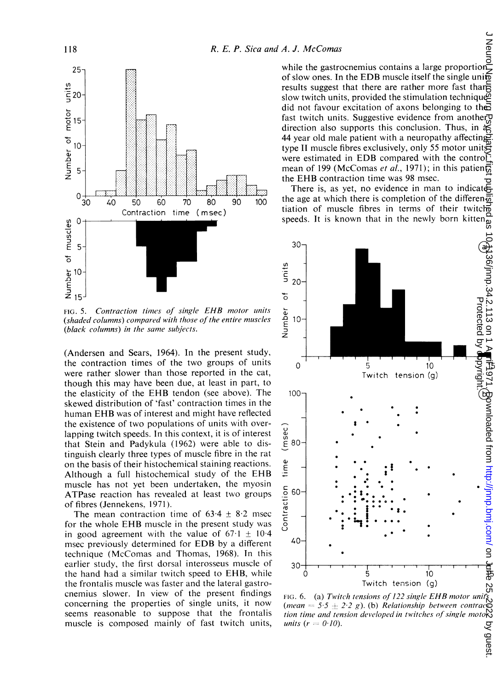

FIG. 5. Contraction times of single EHB motor units (shaded columns) compared with those of the entire muscles (black columns) in the same subjects.

(Andersen and Sears, 1964). In the present study, the contraction times of the two groups of units were rather slower than those reported in the cat, though this may have been due, at least in part, to the elasticity of the EHB tendon (see above). The skewed distribution of 'fast' contraction times in the human EHB was of interest and might have reflected the existence of two populations of units with overlapping twitch speeds. In this context, it is of interest that Stein and Padykula (1962) were able to distinguish clearly three types of muscle fibre in the rat on the basis of their histochemical staining reactions. Although <sup>a</sup> full histochemical study of the EHB muscle has not yet been undertaken, the myosin ATPase reaction has revealed at least two groups of fibres (Jennekens. 1971).

The mean contraction time of  $63.4 \pm 8.2$  msec for the whole EHB muscle in the present study was in good agreement with the value of  $67 \cdot 1 \pm 10 \cdot 4$ msec previously determined for EDB by <sup>a</sup> different technique (McComas and Thomas, 1968). In this earlier study, the first dorsal interosseus muscle of the hand had a similar twitch speed to EHB, while the frontalis muscle was faster and the lateral gastrocnemius slower. In view of the present findings concerning the properties of single units, it now seems reasonable to suppose that the frontalis muscle is composed mainly of fast twitch units,

while the gastrocnemius contains a large proportion<br>of slow ones. In the EDB muscle itself the single unit results suggest that there are rather more fast than slow twitch units, provided the stimulation technique did not favour excitation of axons belonging to the fast twitch units. Suggestive evidence from anotherp direction also supports this conclusion. Thus, in a 44 year old male patient with a neuropathy affecting type II muscle fibres exclusively, only 55 motor units were estimated in EDB compared with the control mean of 199 (McComas *et al.*, 1971); in this patient, the EHB contraction time was 98 msec.

There is, as yet, no evidence in man to indicate 90 100 the age at which there is completion of the difference tractering tractering the difference of their twitch speeds. It is known that in the newly born kitten $\frac{2}{9}$ 



FIG. 6. (a) Twitch tensions of 122 single EHB motor unity (mean = 5.5  $\pm$  2.2 g). (b) Relationship between contract tion time and tension developed in twitches of single motoR<br>ي units (r = 0·10).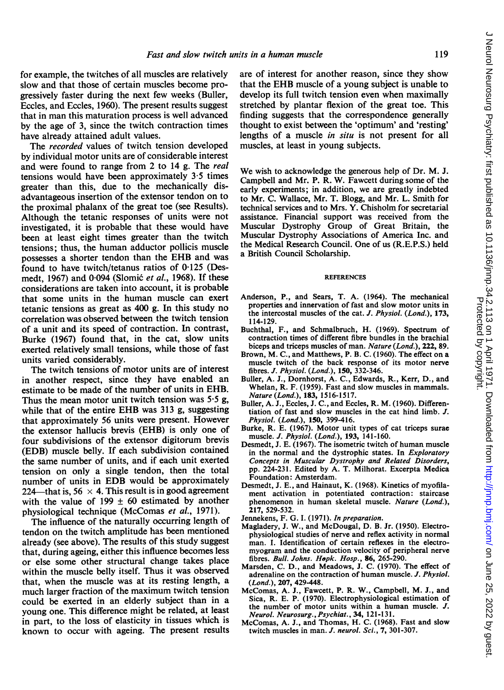for example, the twitches of all muscles are relatively slow and that those of certain muscles become progressively faster during the next few weeks (Buller, Eccles, and Eccles, 1960). The present results suggest that in man this maturation process is well advanced by the age of 3, since the twitch contraction times have already attained adult values.

The recorded values of twitch tension developed by individual motor units are of considerable interest and were found to range from 2 to 14 g. The real tensions would have been approximately 3-5 times greater than this, due to the mechanically disadvantageous insertion of the extensor tendon on to the proximal phalanx of the great toe (see Results). Although the tetanic responses of units were not investigated, it is probable that these would have been at least eight times greater than the twitch tensions; thus, the human adductor pollicis muscle possesses <sup>a</sup> shorter tendon than the EHB and was found to have twitch/tetanus ratios of  $0.125$  (Desmedt, 1967) and 0.094 (Slomić et al., 1968). If these considerations are taken into account, it is probable that some units in the human muscle can exert tetanic tensions as great as 400 g. In this study no correlation was observed between the twitch tension of a unit and its speed of contraction. In contrast, Burke (1967) found that, in the cat, slow units exerted relatively small tensions, while those of fast units varied considerably.

The twitch tensions of motor units are of interest in another respect, since they have enabled an estimate to be made of the number of units in EHB. Thus the mean motor unit twitch tension was  $5.5$  g, while that of the entire EHB was <sup>313</sup> g, suggesting that approximately 56 units were present. However the extensor hallucis brevis (EHB) is only one of four subdivisions of the extensor digitorum brevis (EDB) muscle belly. If each subdivision contained the same number of units, and if each unit exerted tension on only a single tendon, then the total number of units in EDB would be approximately 224—that is, 56  $\times$  4. This result is in good agreement with the value of 199  $\pm$  60 estimated by another physiological technique (McComas et al., 1971).

The influence of the naturally occurring length of tendon on the twitch amplitude has been mentioned already (see above). The results of this study suggest that, during ageing, either this influence becomes less or else some other structural change takes place within the muscle belly itself. Thus it was observed that, when the muscle was at its resting length, a much larger fraction of the maximum twitch tension could be exerted in an elderly subject than in a young one. This difference might be related, at least in part, to the loss of elasticity in tissues which is known to occur with ageing. The present results are of interest for another reason, since they show that the EHB muscle of <sup>a</sup> young subject is unable to develop its full twitch tension even when maximally stretched by plantar flexion of the great toe. This finding suggests that the correspondence generally thought to exist between the 'optimum' and 'resting' lengths of a muscle *in situ* is not present for all muscles, at least in young subjects.

We wish to acknowledge the generous help of Dr. M. J. Campbell and Mr. P. R. W. Fawcett during some of the early experiments; in addition, we are greatly indebted to Mr. C. Wallace, Mr. T. Blogg, and Mr. L. Smith for technical services and to Mrs. Y. Chisholm for secretarial assistance. Financial support was received from the Muscular Dystrophy Group of Great Britain, the Muscular Dystrophy Associations of America Inc. and the Medical Research Council. One of us (R.E.P.S.) held a British Council Scholarship.

#### REFERENCES

- Anderson, P., and Sears, T. A. (1964). The mechanical properties and innervation of fast and slow motor units in the intercostal muscles of the cat. J. Physiol. (Lond.), 173, 114-129.
- Buchthal, F., and Schmalbruch, H. (1969). Spectrum of contraction times of different fibre bundles in the brachial biceps and triceps muscles of man. Nature (Lond.), 222, 89.
- Brown, M. C., and Matthews, P. B. C. (1960). The effect on a muscle twitch of the back response of its motor nerve fibres. J. Physiol. (Lond.), 150, 332-346.
- Buller, A. J., Dornhorst, A. C., Edwards, R., Kerr, D., and Whelan, R. F. (1959). Fast and slow muscles in mammals. Nature (Lond.), 183, 1516-1517.
- Buller, A. J., Eccles, J. C., and Eccles, R. M. (1960). Differentiation of fast and slow muscles in the cat hind limb. J. Physiol. (Lond.), 150, 399-416.
- Burke, R. E. (1967). Motor unit types of cat triceps surae muscle. J. Physiol. (Lond.), 193, 141-160.
- Desmedt, J. E. (1967). The isometric twitch of human muscle in the normal and the dystrophic states. In *Exploratory* Concepts in Muscular Dystrophy and Related Disorders, pp. 224-231. Edited by A. T. Milhorat. Excerpta Medica Foundation: Amsterdam.
- Desmedt, J. E., and Hainaut, K. (1968). Kinetics of myofilament activation in potentiated contraction: staircase phenomenon in human skeletal muscle. Nature (Lond.), 217, 529-532.
- Jennekens, F. G. I. (1971). In preparation.
- Magladery, J. W., and McDougal, D. B. Jr. (1950). Electrophysiological studies of nerve and reflex activity in normal man. I. Identification of certain reflexes in the electromyogram and the conduction velocity of peripheral nerve fibres. Bull. Johns. Hepk. Hosp., 86, 265-290.
- Marsden, C. D., and Meadows, J. C. (1970). The effect of adrenaline on the contraction of human muscle. J. Physiol. (Lond.), 207, 429-448.
- McComas, A. J., Fawcett, P. R. W., Campbell, M. J., and Sica, R. E. P. (1970). Electrophysiological estimation of the number of motor units within a human muscle. J. Neurol. Neurosurg., Psychiat., 34, 121-131.
- McComas, A. J., and Thomas, H. C. (1968). Fast and slow twitch muscles in man. J. neurol. Sci., 7, 301-307.